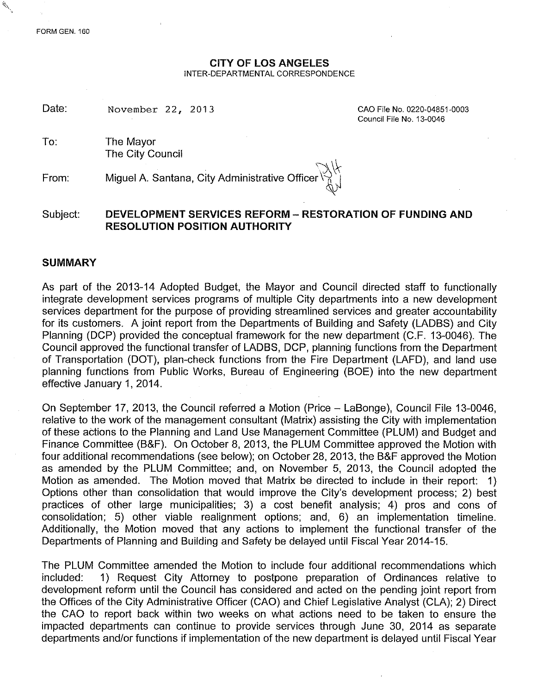#### **CITY OF LOS ANGELES** INTER-DEPARTMENTAL CORRESPONDENCE

Date: November 22, 2013 CAO File No. 0220-04851-0003

Council File No. 13-0046

To: The Mayor The City Council

From: Miguel A. Santana, City Administrative Officer

# Subject: **DEVELOPMENT SERVICES REFORM - RESTORATION OF FUNDING AND RESOLUTION POSITION AUTHORITY**

### **SUMMARY**

As part of the 2013-14 Adopted Budget, the Mayor and Council directed staff to functionally integrate development services programs of multiple City departments into a new development services department for the purpose of providing streamlined services and greater accountability for its customers. A joint report from the Departments of Building and Safety (LADBS) and City Planning (DCP) provided the conceptual framework for the new department (C.F. 13-0046). The Council approved the functional transfer of LADBS, DCP, planning functions from the Department of Transportation (DOT), plan-check functions from the Fire Department (LAFD), and land use planning functions from Public Works, Bureau of Engineering (BOE) into the new department effective January 1,2014.

On September 17, 2013, the Council referred a Motion (Price - LaBonge), Council File 13-0046, relative to the work of the management consultant (Matrix) assisting the City with implementation of these actions to the Planning and Land Use Management Committee (PLUM) and Budget and Finance Committee (B&F). On October 8,2013, the PLUM Committee approved the Motion with four additional recommendations (see below); on October 28, 2013, the B&F approved the Motion as amended by the PLUM Committee; and, on November 5, 2013, the Council adopted the Motion as amended. The Motion moved that Matrix be directed to include in their report: 1) Options other than consolidation that would improve the City's development process; 2) best practices of other large municipalities; 3) a cost benefit analysis; 4) pros and cons of consolidation; 5) other viable realignment options; and, 6) an implementation timeline. Additionally, the Motion moved that any actions to implement the functional transfer of the Departments of Planning and Building and Safety be delayed until Fiscal Year 2014-15.

The PLUM Committee amended the Motion to include four additional recommendations which included: 1) Request City Attomey to postpone preparation of Ordinances relative to development reform until the Council has considered and acted on the pending joint report from the Offices of the City Administrative Officer (CAO) and Chief Legislative Analyst (CLA); 2) Direct the CAO to report back within two weeks on what actions need to be taken to ensure the impacted departments can continue to provide services through June 30, 2014 as separate departments and/or functions if implementation of the new department is delayed until Fiscal Year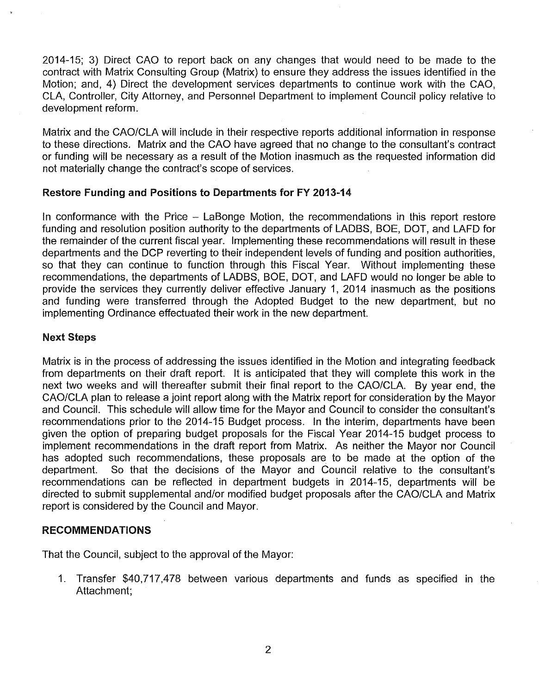2014-15; 3) Direct CAO to report back on any changes that would need to be made to the contract with Matrix Consulting Group (Matrix) to ensure they address the issues identified in the Motion; and, 4) Direct the .development services departments to continue work with the CAO, CLA, Controller, City Attorney, and Personnel Department to implement Council policy relative to development reform.

Matrix and the CAO/CLA will include in their respective reports additional information in response to these directions. Matrix and the CAO have agreed that no change to the consultant's contract or funding will be necessary as a result of the Motion inasmuch as the requested information did not materially change the contract's scope of services.

### Restore Funding and Positions to Departments for FY 2013-14

In conformance with the Price - LaBonge Motion, the recommendations in this report restore funding and resolution position authority to the departments of LADBS, BOE, DOT, and LAFD for the remainder of the current fiscal year. Implementing these recommendations will result in these departments and the DCP reverting to their independent levels of funding and position authorities, so that they can continue to function through this Fiscal Year. Without implementing these recommendations, the departments of LADBS, BOE, DOT, and LAFD would no longer be able to provide the services they currently deliver effective January 1, 2014 inasmuch as the positions and funding were transferred through the Adopted Budget to the new department, but no implementing Ordinance effectuated their work in the new department.

## Next Steps

Matrix is in the process of addressing the issues identified in the Motion and integrating feedback from departments on their draft report. It is anticipated that they will complete this work in the next two weeks and will thereafter submit their final report to the CAO/CLA. By year end, the CAO/CLA plan to release a joint report along with the Matrix report for consideration by the Mayor and Council. This schedule will allow time for the Mayor and Council to consider the consultant's recommendations prior to the 2014-15 Budget process. In the interim, departments have been given the option of preparing budget proposals for the Fiscal Year 2014-15 budget process to implement recommendations in the draft report from Matrix. As neither the Mayor nor Council has adopted such recommendations, these proposals are to be made at the option of the department. So that the decisions of the Mayor and Council relative to the consultant's recommendations can be reflected in department budgets in 2014-15, departments will be directed to submit supplemental *andlor* modified budget proposals after the CAO/CLA and Matrix report is considered by the Council and Mayor.

### RECOMMENDATIONS

That the Council, subject to the approval of the Mayor:

1. Transfer \$40,717,478 between various departments and funds as specified in the Attachment;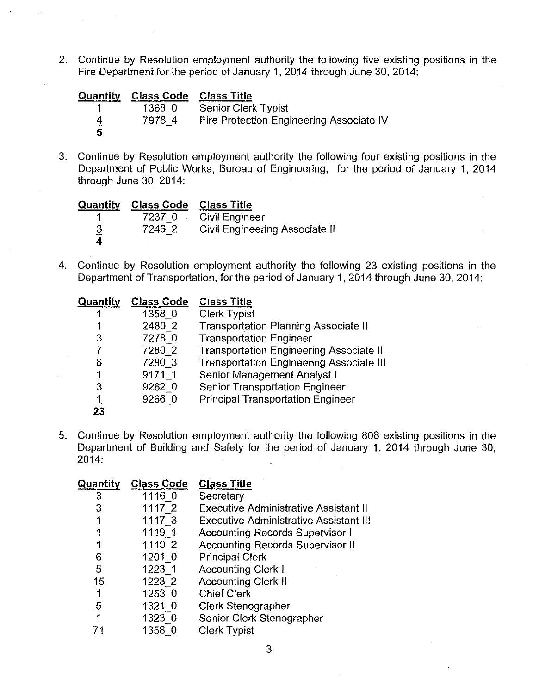2. Continue by Resolution employment authority the following five existing positions in the Fire Department for the period of January 1, 2014 through June 30, 2014:

| Quantity | <b>Class Code</b> | <b>Class Title</b>                       |
|----------|-------------------|------------------------------------------|
|          | 1368 0            | <b>Senior Clerk Typist</b>               |
| 4        | 7978 4            | Fire Protection Engineering Associate IV |
| 5        |                   |                                          |

3. Continue by Resolution employment authority the following four existing positions in the Department of Public Works, Bureau of Engineering, for the period of January 1, 2014 through June 30, 2014:

| Quantity | <b>Class Code</b> | <b>Class Title</b>                    |
|----------|-------------------|---------------------------------------|
|          | 7237 0            | <b>Civil Engineer</b>                 |
| <u>3</u> | 7246 2            | <b>Civil Engineering Associate II</b> |
| 4        |                   |                                       |

4. Continue by Resolution employment authority the following 23 existing positions in the Department of Transportation, for the period of January 1,2014 through June 30, 2014:

| Quantity | <b>Class Code</b> | <b>Class Title</b>                              |
|----------|-------------------|-------------------------------------------------|
|          | 1358 0            | <b>Clerk Typist</b>                             |
|          | 2480 2            | <b>Transportation Planning Associate II</b>     |
| 3        | 7278 0            | <b>Transportation Engineer</b>                  |
|          | 7280 2            | <b>Transportation Engineering Associate II</b>  |
| 6        | 7280 3            | <b>Transportation Engineering Associate III</b> |
|          | 9171 1            | Senior Management Analyst I                     |
| 3        | 9262 0            | <b>Senior Transportation Engineer</b>           |
| <u>1</u> | 9266 0            | <b>Principal Transportation Engineer</b>        |
| 23       |                   |                                                 |

5. Continue by Resolution employment authority the following 808 existing positions in the Department of Building and Safety for the period of January 1, 2014 through June 30, 2014:  $\mathcal{L}$ 

| Quantity | <b>Class Code</b> | <b>Class Title</b>                            |
|----------|-------------------|-----------------------------------------------|
| 3        | 1116 0            | Secretary                                     |
| 3        | 1117 2            | <b>Executive Administrative Assistant II</b>  |
|          | 1117 3            | <b>Executive Administrative Assistant III</b> |
|          | 1119 1            | <b>Accounting Records Supervisor I</b>        |
|          | 1119 2            | <b>Accounting Records Supervisor II</b>       |
| 6        | 1201 0            | <b>Principal Clerk</b>                        |
| 5        | 1223 1            | <b>Accounting Clerk I</b>                     |
| 15       | 1223 2            | <b>Accounting Clerk II</b>                    |
|          | 1253 0            | <b>Chief Clerk</b>                            |
| .5       | 1321 0            | <b>Clerk Stenographer</b>                     |
| 1        | 1323 0            | Senior Clerk Stenographer                     |
|          | 1358 0            | <b>Clerk Typist</b>                           |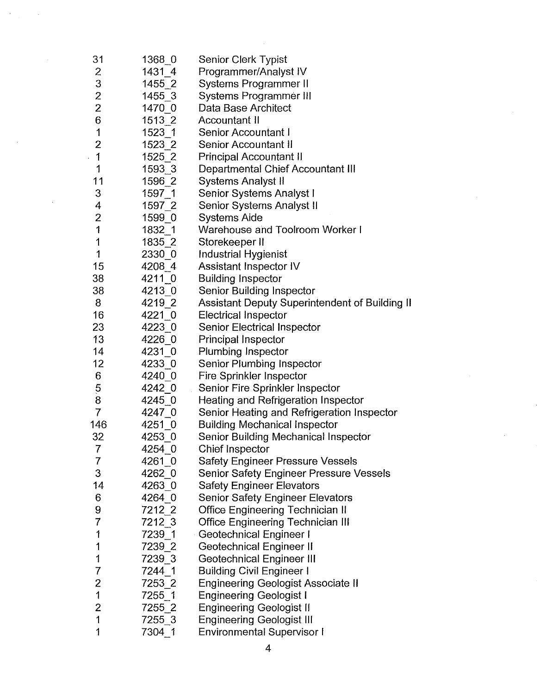| 31             | 1368 0     | <b>Senior Clerk Typist</b>                     |
|----------------|------------|------------------------------------------------|
| 2              | 14314      | Programmer/Analyst IV                          |
| 3              | 1455 2     | Systems Programmer II                          |
| $\overline{2}$ | $1455 - 3$ | Systems Programmer III                         |
| $\overline{c}$ | 1470 0     | Data Base Architect                            |
| 6              | $1513$ 2   | Accountant II                                  |
| 1              | 1523 1     | <b>Senior Accountant I</b>                     |
| $\overline{c}$ | 1523 2     | <b>Senior Accountant II</b>                    |
| 1              | 1525_2     | <b>Principal Accountant II</b>                 |
| 1              | 1593 3     | Departmental Chief Accountant III              |
| 11             | 1596 2     | Systems Analyst II                             |
| 3              | $1597 - 1$ | Senior Systems Analyst I                       |
| 4              | 1597 2     | Senior Systems Analyst II                      |
| $\overline{2}$ | 1599 0     | <b>Systems Aide</b>                            |
| 1              | $1832 - 1$ | Warehouse and Toolroom Worker I                |
| 1              | 1835 2     | Storekeeper II                                 |
| 1              | 2330 0     | <b>Industrial Hygienist</b>                    |
| 15             | 4208 4     | Assistant Inspector IV                         |
| 38             | 4211 0     | <b>Building Inspector</b>                      |
| 38             | 4213 0     | Senior Building Inspector                      |
| 8              | 4219 2     | Assistant Deputy Superintendent of Building II |
| 16             | $4221 - 0$ | <b>Electrical Inspector</b>                    |
| 23             | 4223 0     | <b>Senior Electrical Inspector</b>             |
| 13             | 4226 0     | Principal Inspector                            |
| 14             | 4231 0     | <b>Plumbing Inspector</b>                      |
| 12             | 4233 0     | <b>Senior Plumbing Inspector</b>               |
| 6              | 4240 0     | <b>Fire Sprinkler Inspector</b>                |
|                | 4242 0     | Senior Fire Sprinkler Inspector                |
| $\frac{5}{8}$  | 4245 0     | Heating and Refrigeration Inspector            |
| $\overline{7}$ | 4247 0     | Senior Heating and Refrigeration Inspector     |
| 146            | 4251 0     | <b>Building Mechanical Inspector</b>           |
| 32             | 4253 0     | Senior Building Mechanical Inspector           |
| 7              | 4254 0     | <b>Chief Inspector</b>                         |
| 7              | 4261 0     | <b>Safety Engineer Pressure Vessels</b>        |
| 3              | 4262 0     | Senior Safety Engineer Pressure Vessels        |
| 14             | 4263 0     | <b>Safety Engineer Elevators</b>               |
| 6              | 4264 0     | <b>Senior Safety Engineer Elevators</b>        |
| 9              | 7212 2     | <b>Office Engineering Technician II</b>        |
| 7              | $7212 - 3$ | <b>Office Engineering Technician III</b>       |
| 1              | 7239 1     | Geotechnical Engineer I                        |
| 1              | 7239 2     | Geotechnical Engineer II                       |
| 1              | 7239 3     | <b>Geotechnical Engineer III</b>               |
| 7              | 7244 1     | <b>Building Civil Engineer I</b>               |
| $\overline{c}$ | 7253 2     | <b>Engineering Geologist Associate II</b>      |
| 1              | 7255 1     | <b>Engineering Geologist I</b>                 |
| $\overline{2}$ | 7255 2     | <b>Engineering Geologist II</b>                |
| 1              | 7255_3     | <b>Engineering Geologist III</b>               |
| 1              | 7304_1     | <b>Environmental Supervisor I</b>              |

 $\frac{1}{2}$ 

 $\sim$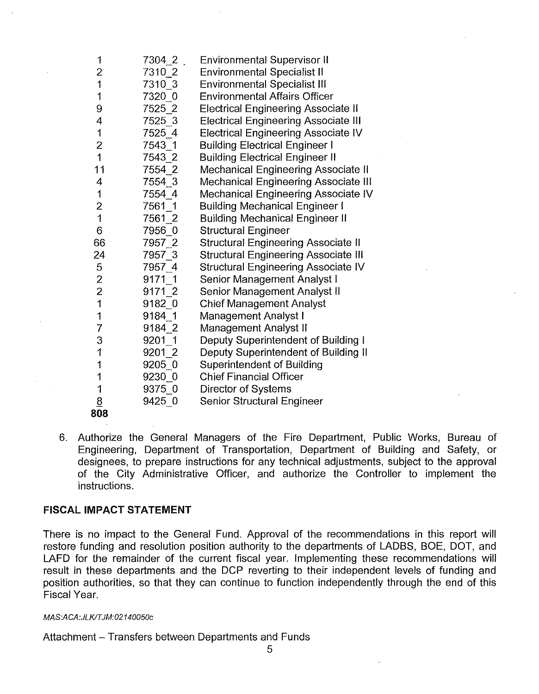| 1                   | 7304 2     | <b>Environmental Supervisor II</b>          |
|---------------------|------------|---------------------------------------------|
| $\overline{c}$      | 7310 2     | <b>Environmental Specialist II</b>          |
| 1                   | 7310 3     | <b>Environmental Specialist III</b>         |
| $\mathfrak l$       | 7320 0     | <b>Environmental Affairs Officer</b>        |
| 9                   | 7525 2     | <b>Electrical Engineering Associate II</b>  |
| 4                   | 7525 3     | <b>Electrical Engineering Associate III</b> |
| 1                   | 7525 4     | <b>Electrical Engineering Associate IV</b>  |
| $\overline{c}$      | 7543_1     | <b>Building Electrical Engineer I</b>       |
| $\overline{1}$      | 7543 2     | <b>Building Electrical Engineer II</b>      |
| 11                  | 7554 2     | <b>Mechanical Engineering Associate II</b>  |
| 4                   | 7554 3     | <b>Mechanical Engineering Associate III</b> |
| 1                   | 7554 4     | Mechanical Engineering Associate IV         |
| $\overline{2}$      | 7561 1     | <b>Building Mechanical Engineer I</b>       |
| $\mathbf{1}$        | 7561 2     | <b>Building Mechanical Engineer II</b>      |
| 6                   | 7956 0     | <b>Structural Engineer</b>                  |
| 66                  | 7957 2     | <b>Structural Engineering Associate II</b>  |
| 24                  | 7957 3     | <b>Structural Engineering Associate III</b> |
| 5                   | 7957 4     | Structural Engineering Associate IV         |
|                     | 9171 1     | Senior Management Analyst I                 |
| $\frac{2}{2}$       | 9171 2     | Senior Management Analyst II                |
| $\ddot{\mathbf{1}}$ | 9182 0     | <b>Chief Management Analyst</b>             |
| 1                   | 9184 1     | Management Analyst I                        |
| 7                   | 9184_2     | Management Analyst II                       |
| 3                   | 9201 1     | Deputy Superintendent of Building I         |
| $\ddagger$          | $9201 - 2$ | Deputy Superintendent of Building II        |
| 1                   | 9205 0     | <b>Superintendent of Building</b>           |
| 1                   | 9230 0     | <b>Chief Financial Officer</b>              |
| $\mathbf{1}$        | 9375 0     | <b>Director of Systems</b>                  |
| $\underline{8}$     | 9425_0     | <b>Senior Structural Engineer</b>           |
| 808                 |            |                                             |

6. Authorize the General Managers of the Fire Department, Public Works, Bureau of Engineering, Department of Transportation, Department of Building and Safety, or designees, to prepare instructions for any technical adjustments, subject to the approval of the City Administrative Officer, and authorize the Controller to implement the instructions.

### FISCAL IMPACT **STATEMENT**

There is no impact to the General Fund. Approval of the recommendations in this report will restore funding and resolution position authority to the departments of LADBS, BOE, DOT, and LAFD for the remainder of the current fiscal year. Implementing these recommendations will result in these departments and the DCP reverting to their independent levels of funding and position authorities, so that they can continue to function independently through the end of this Fiscal Year.

### *MAS:ACA:JLKlTJM:02140050c*

Attachment - Transfers between Departments and Funds